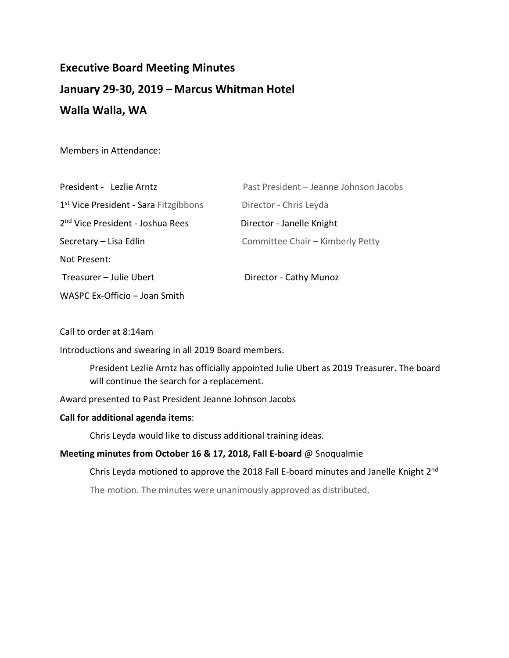# **Executive Board Meeting Minutes January 29-30, 2019 – Marcus Whitman Hotel Walla Walla, WA**

Members in Attendance:

| President - Lezlie Arntz                          | Past President - Jeanne Johnson Jacobs |
|---------------------------------------------------|----------------------------------------|
| 1 <sup>st</sup> Vice President - Sara Fitzgibbons | Director - Chris Leyda                 |
| 2 <sup>nd</sup> Vice President - Joshua Rees      | Director - Janelle Knight              |
| Secretary – Lisa Edlin                            | Committee Chair - Kimberly Petty       |
| Not Present:                                      |                                        |
| Treasurer - Julie Ubert                           | Director - Cathy Munoz                 |
| WASPC Ex-Officio - Joan Smith                     |                                        |

Call to order at 8:14am

Introductions and swearing in all 2019 Board members.

President Lezlie Arntz has officially appointed Julie Ubert as 2019 Treasurer. The board will continue the search for a replacement.

Award presented to Past President Jeanne Johnson Jacobs

# **Call for additional agenda items**:

Chris Leyda would like to discuss additional training ideas.

# **Meeting minutes from October 16 & 17, 2018, Fall E-board** @ Snoqualmie

Chris Leyda motioned to approve the 2018 Fall E-board minutes and Janelle Knight 2nd

The motion. The minutes were unanimously approved as distributed.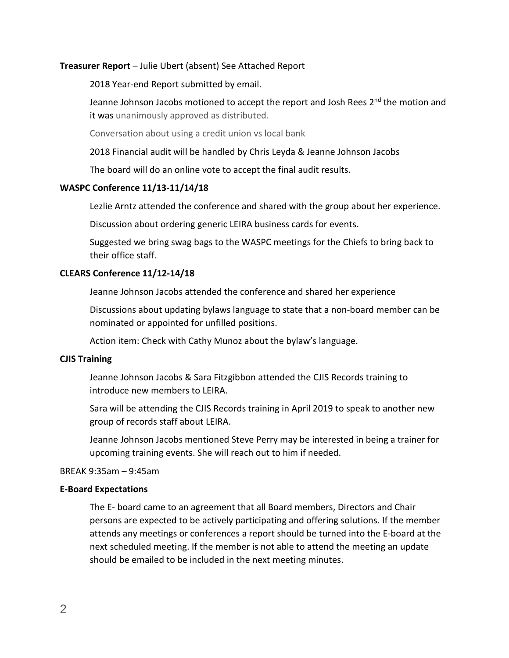## **Treasurer Report** – Julie Ubert (absent) See Attached Report

2018 Year-end Report submitted by email.

Jeanne Johnson Jacobs motioned to accept the report and Josh Rees 2<sup>nd</sup> the motion and it was unanimously approved as distributed.

Conversation about using a credit union vs local bank

2018 Financial audit will be handled by Chris Leyda & Jeanne Johnson Jacobs

The board will do an online vote to accept the final audit results.

#### **WASPC Conference 11/13-11/14/18**

Lezlie Arntz attended the conference and shared with the group about her experience.

Discussion about ordering generic LEIRA business cards for events.

Suggested we bring swag bags to the WASPC meetings for the Chiefs to bring back to their office staff.

# **CLEARS Conference 11/12-14/18**

Jeanne Johnson Jacobs attended the conference and shared her experience

Discussions about updating bylaws language to state that a non-board member can be nominated or appointed for unfilled positions.

Action item: Check with Cathy Munoz about the bylaw's language.

#### **CJIS Training**

Jeanne Johnson Jacobs & Sara Fitzgibbon attended the CJIS Records training to introduce new members to LEIRA.

Sara will be attending the CJIS Records training in April 2019 to speak to another new group of records staff about LEIRA.

Jeanne Johnson Jacobs mentioned Steve Perry may be interested in being a trainer for upcoming training events. She will reach out to him if needed.

#### BREAK 9:35am – 9:45am

# **E-Board Expectations**

The E- board came to an agreement that all Board members, Directors and Chair persons are expected to be actively participating and offering solutions. If the member attends any meetings or conferences a report should be turned into the E-board at the next scheduled meeting. If the member is not able to attend the meeting an update should be emailed to be included in the next meeting minutes.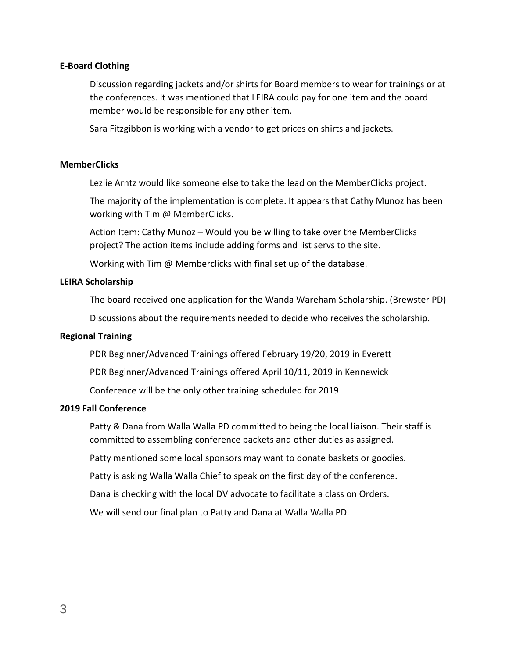## **E-Board Clothing**

Discussion regarding jackets and/or shirts for Board members to wear for trainings or at the conferences. It was mentioned that LEIRA could pay for one item and the board member would be responsible for any other item.

Sara Fitzgibbon is working with a vendor to get prices on shirts and jackets.

#### **MemberClicks**

Lezlie Arntz would like someone else to take the lead on the MemberClicks project.

The majority of the implementation is complete. It appears that Cathy Munoz has been working with Tim @ MemberClicks.

Action Item: Cathy Munoz – Would you be willing to take over the MemberClicks project? The action items include adding forms and list servs to the site.

Working with Tim @ Memberclicks with final set up of the database.

#### **LEIRA Scholarship**

The board received one application for the Wanda Wareham Scholarship. (Brewster PD)

Discussions about the requirements needed to decide who receives the scholarship.

#### **Regional Training**

PDR Beginner/Advanced Trainings offered February 19/20, 2019 in Everett

PDR Beginner/Advanced Trainings offered April 10/11, 2019 in Kennewick

Conference will be the only other training scheduled for 2019

#### **2019 Fall Conference**

Patty & Dana from Walla Walla PD committed to being the local liaison. Their staff is committed to assembling conference packets and other duties as assigned.

Patty mentioned some local sponsors may want to donate baskets or goodies.

Patty is asking Walla Walla Chief to speak on the first day of the conference.

Dana is checking with the local DV advocate to facilitate a class on Orders.

We will send our final plan to Patty and Dana at Walla Walla PD.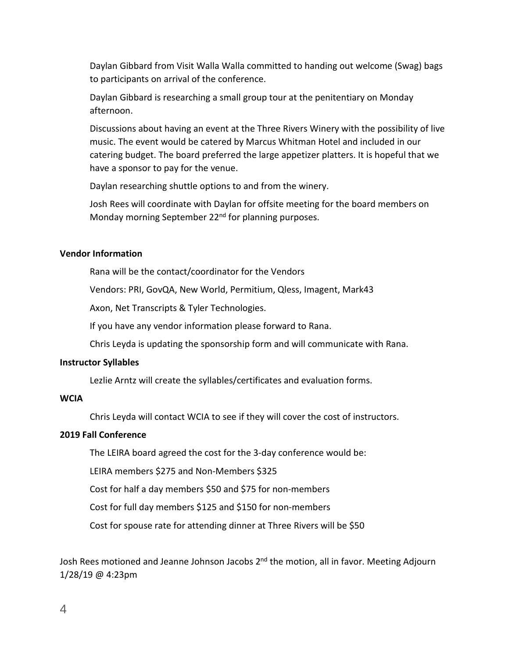Daylan Gibbard from Visit Walla Walla committed to handing out welcome (Swag) bags to participants on arrival of the conference.

Daylan Gibbard is researching a small group tour at the penitentiary on Monday afternoon.

Discussions about having an event at the Three Rivers Winery with the possibility of live music. The event would be catered by Marcus Whitman Hotel and included in our catering budget. The board preferred the large appetizer platters. It is hopeful that we have a sponsor to pay for the venue.

Daylan researching shuttle options to and from the winery.

Josh Rees will coordinate with Daylan for offsite meeting for the board members on Monday morning September 22<sup>nd</sup> for planning purposes.

# **Vendor Information**

Rana will be the contact/coordinator for the Vendors

Vendors: PRI, GovQA, New World, Permitium, Qless, Imagent, Mark43

Axon, Net Transcripts & Tyler Technologies.

If you have any vendor information please forward to Rana.

Chris Leyda is updating the sponsorship form and will communicate with Rana.

# **Instructor Syllables**

Lezlie Arntz will create the syllables/certificates and evaluation forms.

# **WCIA**

Chris Leyda will contact WCIA to see if they will cover the cost of instructors.

# **2019 Fall Conference**

The LEIRA board agreed the cost for the 3-day conference would be:

LEIRA members \$275 and Non-Members \$325

Cost for half a day members \$50 and \$75 for non-members

Cost for full day members \$125 and \$150 for non-members

Cost for spouse rate for attending dinner at Three Rivers will be \$50

Josh Rees motioned and Jeanne Johnson Jacobs 2<sup>nd</sup> the motion, all in favor. Meeting Adjourn 1/28/19 @ 4:23pm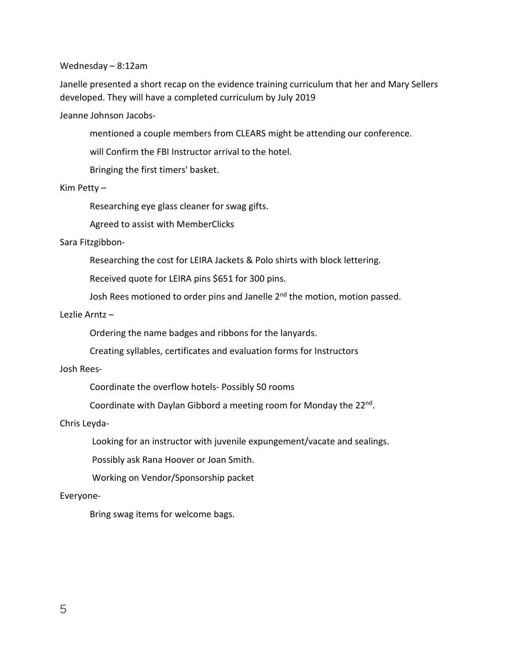#### Wednesday – 8:12am

Janelle presented a short recap on the evidence training curriculum that her and Mary Sellers developed. They will have a completed curriculum by July 2019

Jeanne Johnson Jacobs-

mentioned a couple members from CLEARS might be attending our conference.

will Confirm the FBI Instructor arrival to the hotel.

Bringing the first timers' basket.

Kim Petty –

Researching eye glass cleaner for swag gifts.

Agreed to assist with MemberClicks

# Sara Fitzgibbon-

Researching the cost for LEIRA Jackets & Polo shirts with block lettering.

Received quote for LEIRA pins \$651 for 300 pins.

Josh Rees motioned to order pins and Janelle 2<sup>nd</sup> the motion, motion passed.

## Lezlie Arntz –

Ordering the name badges and ribbons for the lanyards.

Creating syllables, certificates and evaluation forms for Instructors

# Josh Rees-

Coordinate the overflow hotels- Possibly 50 rooms

Coordinate with Daylan Gibbord a meeting room for Monday the 22nd.

# Chris Leyda-

Looking for an instructor with juvenile expungement/vacate and sealings.

Possibly ask Rana Hoover or Joan Smith.

Working on Vendor/Sponsorship packet

# Everyone-

Bring swag items for welcome bags.